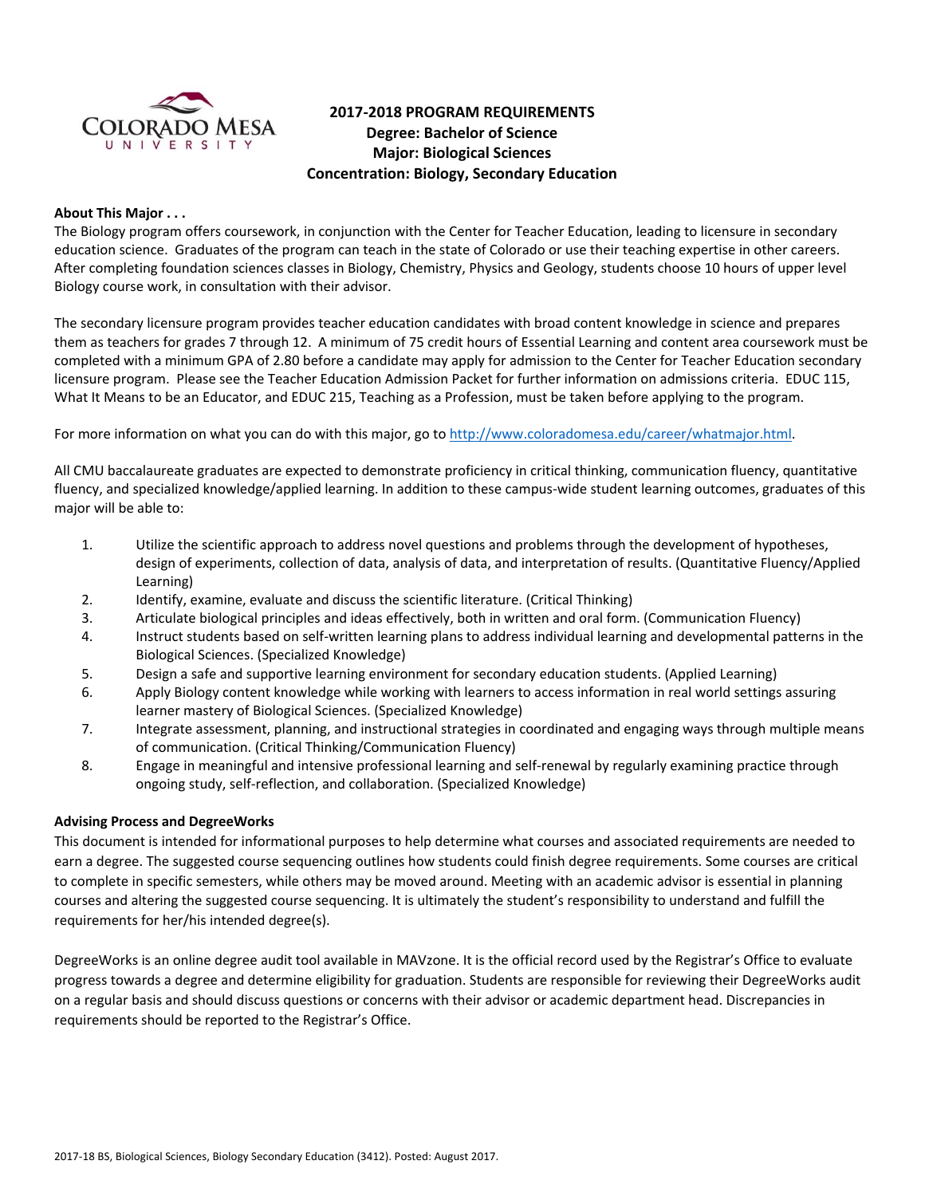

# **2017‐2018 PROGRAM REQUIREMENTS Degree: Bachelor of Science Major: Biological Sciences Concentration: Biology, Secondary Education**

## **About This Major . . .**

The Biology program offers coursework, in conjunction with the Center for Teacher Education, leading to licensure in secondary education science. Graduates of the program can teach in the state of Colorado or use their teaching expertise in other careers. After completing foundation sciences classes in Biology, Chemistry, Physics and Geology, students choose 10 hours of upper level Biology course work, in consultation with their advisor.

The secondary licensure program provides teacher education candidates with broad content knowledge in science and prepares them as teachers for grades 7 through 12. A minimum of 75 credit hours of Essential Learning and content area coursework must be completed with a minimum GPA of 2.80 before a candidate may apply for admission to the Center for Teacher Education secondary licensure program. Please see the Teacher Education Admission Packet for further information on admissions criteria. EDUC 115, What It Means to be an Educator, and EDUC 215, Teaching as a Profession, must be taken before applying to the program.

For more information on what you can do with this major, go to http://www.coloradomesa.edu/career/whatmajor.html.

All CMU baccalaureate graduates are expected to demonstrate proficiency in critical thinking, communication fluency, quantitative fluency, and specialized knowledge/applied learning. In addition to these campus-wide student learning outcomes, graduates of this major will be able to:

- 1. Utilize the scientific approach to address novel questions and problems through the development of hypotheses, design of experiments, collection of data, analysis of data, and interpretation of results. (Quantitative Fluency/Applied Learning)
- 2. Identify, examine, evaluate and discuss the scientific literature. (Critical Thinking)
- 3. Articulate biological principles and ideas effectively, both in written and oral form. (Communication Fluency)
- 4. Instruct students based on self‐written learning plans to address individual learning and developmental patterns in the Biological Sciences. (Specialized Knowledge)
- 5. Design a safe and supportive learning environment for secondary education students. (Applied Learning)
- 6. Apply Biology content knowledge while working with learners to access information in real world settings assuring learner mastery of Biological Sciences. (Specialized Knowledge)
- 7. Integrate assessment, planning, and instructional strategies in coordinated and engaging ways through multiple means of communication. (Critical Thinking/Communication Fluency)
- 8. Engage in meaningful and intensive professional learning and self‐renewal by regularly examining practice through ongoing study, self‐reflection, and collaboration. (Specialized Knowledge)

# **Advising Process and DegreeWorks**

This document is intended for informational purposes to help determine what courses and associated requirements are needed to earn a degree. The suggested course sequencing outlines how students could finish degree requirements. Some courses are critical to complete in specific semesters, while others may be moved around. Meeting with an academic advisor is essential in planning courses and altering the suggested course sequencing. It is ultimately the student's responsibility to understand and fulfill the requirements for her/his intended degree(s).

DegreeWorks is an online degree audit tool available in MAVzone. It is the official record used by the Registrar's Office to evaluate progress towards a degree and determine eligibility for graduation. Students are responsible for reviewing their DegreeWorks audit on a regular basis and should discuss questions or concerns with their advisor or academic department head. Discrepancies in requirements should be reported to the Registrar's Office.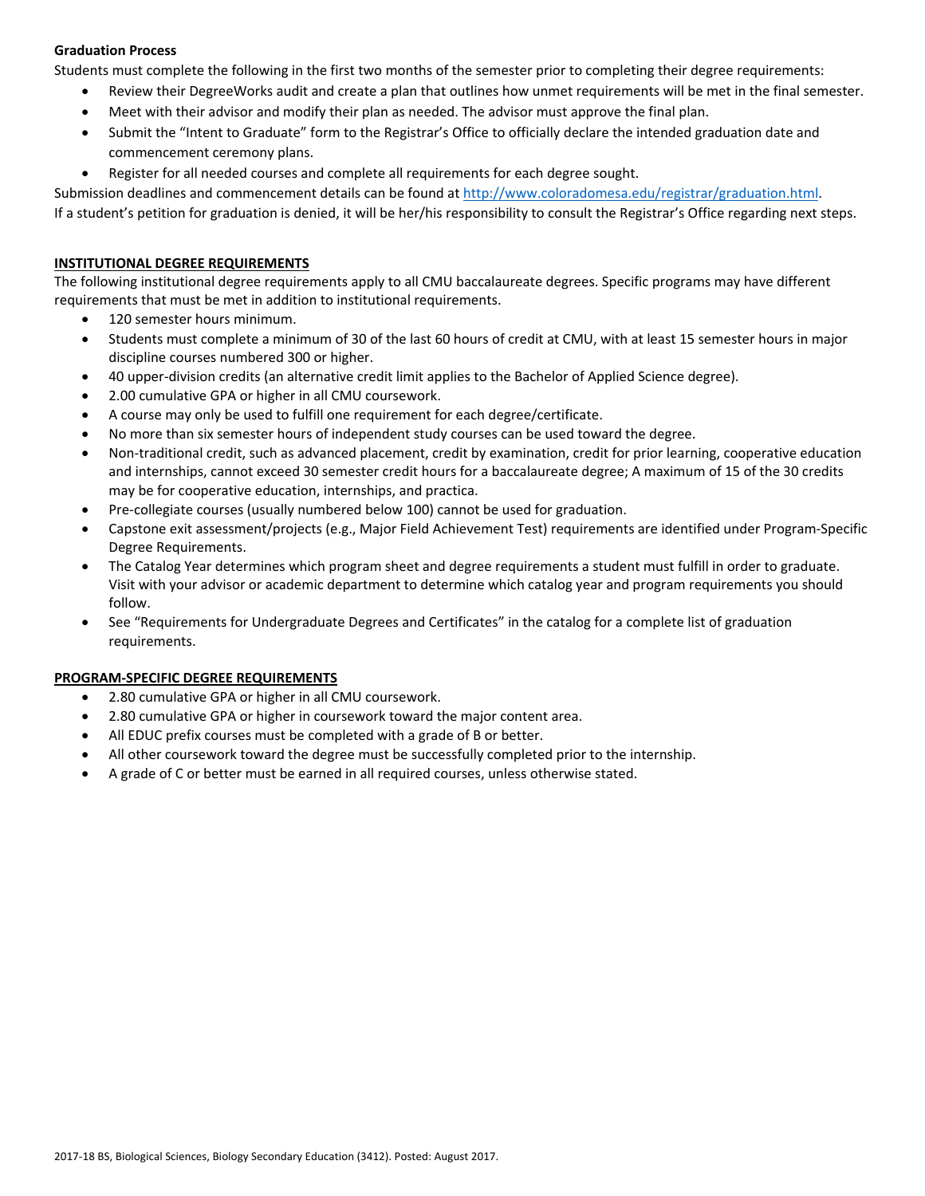# **Graduation Process**

Students must complete the following in the first two months of the semester prior to completing their degree requirements:

- Review their DegreeWorks audit and create a plan that outlines how unmet requirements will be met in the final semester.
- Meet with their advisor and modify their plan as needed. The advisor must approve the final plan.
- Submit the "Intent to Graduate" form to the Registrar's Office to officially declare the intended graduation date and commencement ceremony plans.
- Register for all needed courses and complete all requirements for each degree sought.

Submission deadlines and commencement details can be found at http://www.coloradomesa.edu/registrar/graduation.html.

If a student's petition for graduation is denied, it will be her/his responsibility to consult the Registrar's Office regarding next steps.

## **INSTITUTIONAL DEGREE REQUIREMENTS**

The following institutional degree requirements apply to all CMU baccalaureate degrees. Specific programs may have different requirements that must be met in addition to institutional requirements.

- 120 semester hours minimum.
- Students must complete a minimum of 30 of the last 60 hours of credit at CMU, with at least 15 semester hours in major discipline courses numbered 300 or higher.
- 40 upper-division credits (an alternative credit limit applies to the Bachelor of Applied Science degree).
- 2.00 cumulative GPA or higher in all CMU coursework.
- A course may only be used to fulfill one requirement for each degree/certificate.
- No more than six semester hours of independent study courses can be used toward the degree.
- Non-traditional credit, such as advanced placement, credit by examination, credit for prior learning, cooperative education and internships, cannot exceed 30 semester credit hours for a baccalaureate degree; A maximum of 15 of the 30 credits may be for cooperative education, internships, and practica.
- Pre‐collegiate courses (usually numbered below 100) cannot be used for graduation.
- Capstone exit assessment/projects (e.g., Major Field Achievement Test) requirements are identified under Program‐Specific Degree Requirements.
- The Catalog Year determines which program sheet and degree requirements a student must fulfill in order to graduate. Visit with your advisor or academic department to determine which catalog year and program requirements you should follow.
- See "Requirements for Undergraduate Degrees and Certificates" in the catalog for a complete list of graduation requirements.

# **PROGRAM‐SPECIFIC DEGREE REQUIREMENTS**

- 2.80 cumulative GPA or higher in all CMU coursework.
- 2.80 cumulative GPA or higher in coursework toward the major content area.
- All EDUC prefix courses must be completed with a grade of B or better.
- All other coursework toward the degree must be successfully completed prior to the internship.
- A grade of C or better must be earned in all required courses, unless otherwise stated.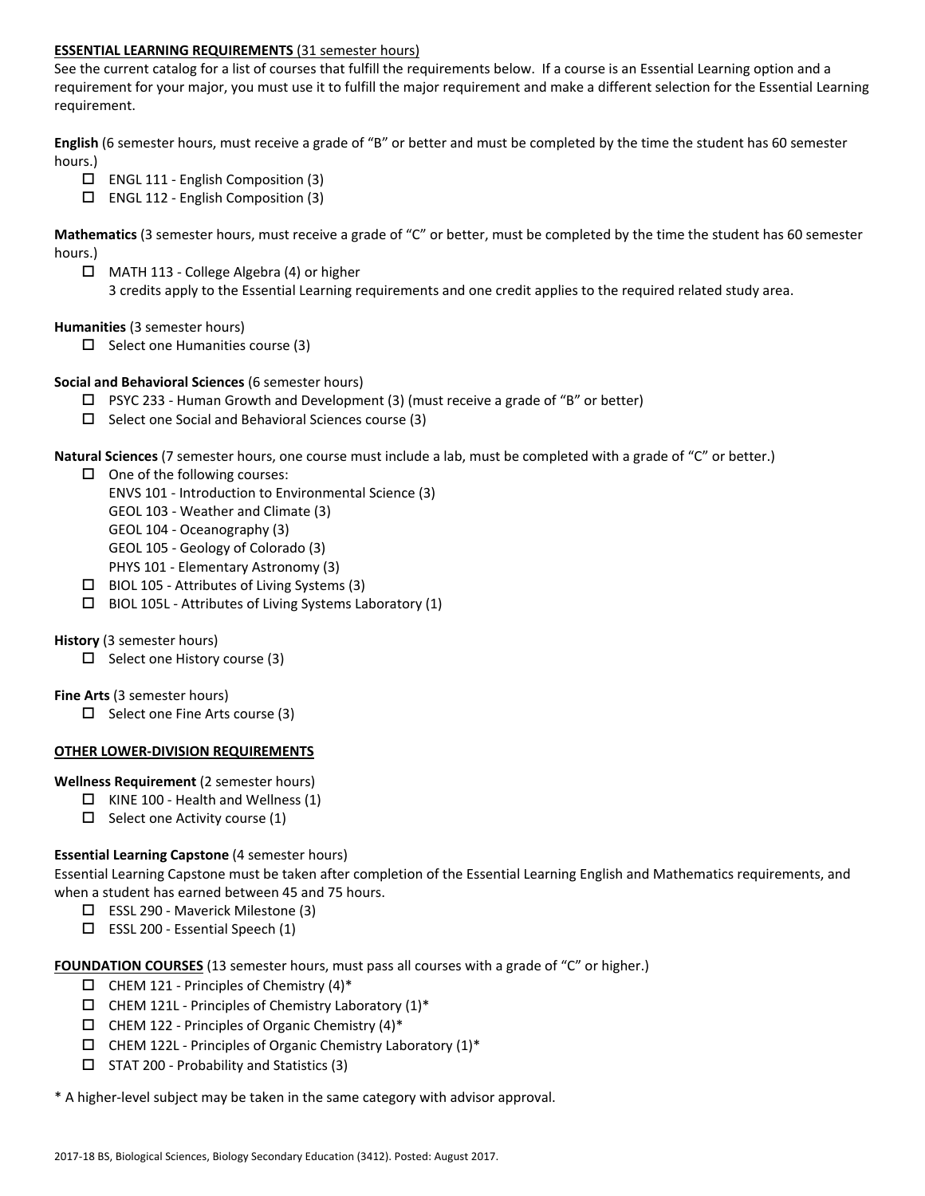# **ESSENTIAL LEARNING REQUIREMENTS** (31 semester hours)

See the current catalog for a list of courses that fulfill the requirements below. If a course is an Essential Learning option and a requirement for your major, you must use it to fulfill the major requirement and make a different selection for the Essential Learning requirement.

**English** (6 semester hours, must receive a grade of "B" or better and must be completed by the time the student has 60 semester hours.)

- $\Box$  ENGL 111 English Composition (3)
- ENGL 112 ‐ English Composition (3)

**Mathematics** (3 semester hours, must receive a grade of "C" or better, must be completed by the time the student has 60 semester hours.)

 MATH 113 ‐ College Algebra (4) or higher 3 credits apply to the Essential Learning requirements and one credit applies to the required related study area.

### **Humanities** (3 semester hours)

 $\Box$  Select one Humanities course (3)

# **Social and Behavioral Sciences** (6 semester hours)

- $\Box$  PSYC 233 Human Growth and Development (3) (must receive a grade of "B" or better)
- $\Box$  Select one Social and Behavioral Sciences course (3)

**Natural Sciences** (7 semester hours, one course must include a lab, must be completed with a grade of "C" or better.)

- $\Box$  One of the following courses:
	- ENVS 101 ‐ Introduction to Environmental Science (3)
	- GEOL 103 ‐ Weather and Climate (3)
	- GEOL 104 ‐ Oceanography (3)
	- GEOL 105 ‐ Geology of Colorado (3)
	- PHYS 101 ‐ Elementary Astronomy (3)
- $\Box$  BIOL 105 Attributes of Living Systems (3)
- BIOL 105L ‐ Attributes of Living Systems Laboratory (1)

### **History** (3 semester hours)

 $\Box$  Select one History course (3)

# **Fine Arts** (3 semester hours)

 $\Box$  Select one Fine Arts course (3)

### **OTHER LOWER‐DIVISION REQUIREMENTS**

### **Wellness Requirement** (2 semester hours)

- $\Box$  KINE 100 Health and Wellness (1)
- $\Box$  Select one Activity course (1)

### **Essential Learning Capstone** (4 semester hours)

Essential Learning Capstone must be taken after completion of the Essential Learning English and Mathematics requirements, and when a student has earned between 45 and 75 hours.

- ESSL 290 ‐ Maverick Milestone (3)
- ESSL 200 ‐ Essential Speech (1)

FOUNDATION COURSES (13 semester hours, must pass all courses with a grade of "C" or higher.)

- $\square$  CHEM 121 Principles of Chemistry (4)\*
- $\Box$  CHEM 121L Principles of Chemistry Laboratory (1)\*
- $\Box$  CHEM 122 Principles of Organic Chemistry (4)\*
- $\Box$  CHEM 122L Principles of Organic Chemistry Laboratory (1)\*
- $\Box$  STAT 200 Probability and Statistics (3)

\* A higher‐level subject may be taken in the same category with advisor approval.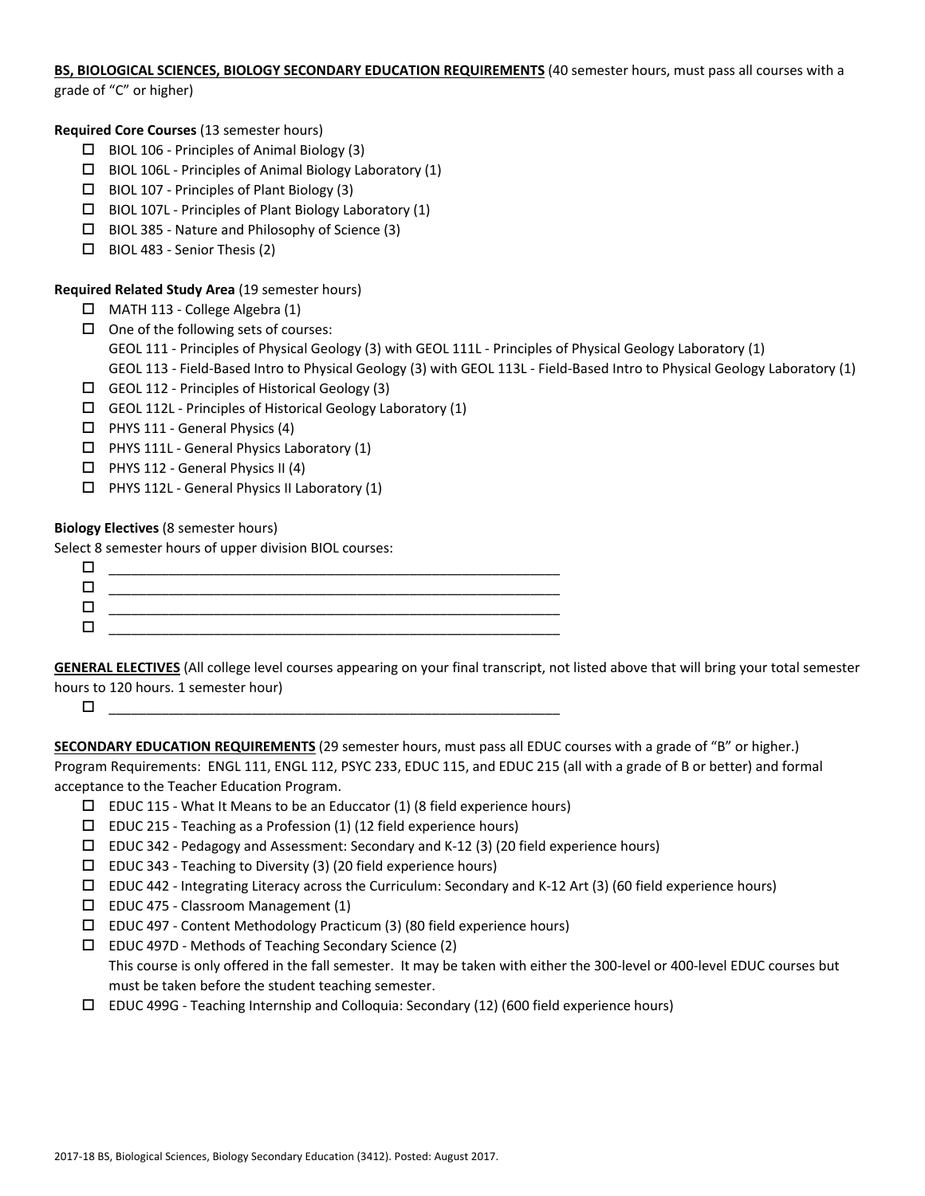# **BS, BIOLOGICAL SCIENCES, BIOLOGY SECONDARY EDUCATION REQUIREMENTS** (40 semester hours, must pass all courses with a

grade of "C" or higher)

# **Required Core Courses** (13 semester hours)

- BIOL 106 ‐ Principles of Animal Biology (3)
- $\Box$  BIOL 106L Principles of Animal Biology Laboratory (1)
- BIOL 107 ‐ Principles of Plant Biology (3)
- $\Box$  BIOL 107L Principles of Plant Biology Laboratory (1)
- $\Box$  BIOL 385 Nature and Philosophy of Science (3)
- $\Box$  BIOL 483 Senior Thesis (2)

# **Required Related Study Area** (19 semester hours)

- MATH 113 ‐ College Algebra (1)
- $\Box$  One of the following sets of courses:
	- GEOL 111 Principles of Physical Geology (3) with GEOL 111L Principles of Physical Geology Laboratory (1)
	- GEOL 113 ‐ Field‐Based Intro to Physical Geology (3) with GEOL 113L ‐ Field‐Based Intro to Physical Geology Laboratory (1)
- $\Box$  GEOL 112 Principles of Historical Geology (3)
- $\Box$  GEOL 112L Principles of Historical Geology Laboratory (1)
- $\Box$  PHYS 111 General Physics (4)
- □ PHYS 111L General Physics Laboratory (1)
- $\Box$  PHYS 112 General Physics II (4)
- PHYS 112L ‐ General Physics II Laboratory (1)

# **Biology Electives** (8 semester hours)

Select 8 semester hours of upper division BIOL courses:

**GENERAL ELECTIVES** (All college level courses appearing on your final transcript, not listed above that will bring your total semester hours to 120 hours. 1 semester hour)

 $\Box$   $\qquad \qquad \Box$   $\qquad \qquad \Box$   $\qquad \qquad \Box$   $\qquad \qquad \Box$   $\qquad \qquad \Box$   $\qquad \qquad \Box$   $\qquad \qquad \Box$   $\qquad \qquad \Box$   $\qquad \qquad \Box$   $\qquad \qquad \Box$   $\qquad \qquad \Box$   $\qquad \qquad \Box$   $\qquad \qquad \Box$   $\qquad \qquad \Box$   $\qquad \qquad \Box$   $\qquad \qquad \Box$   $\qquad \qquad \Box$   $\qquad \qquad \Box$   $\qquad \qquad \Box$   $\qquad \qquad$ 

**SECONDARY EDUCATION REQUIREMENTS** (29 semester hours, must pass all EDUC courses with a grade of "B" or higher.) Program Requirements: ENGL 111, ENGL 112, PSYC 233, EDUC 115, and EDUC 215 (all with a grade of B or better) and formal acceptance to the Teacher Education Program.

- $□$  EDUC 115 What It Means to be an Educcator (1) (8 field experience hours)
- $\square$  EDUC 215 Teaching as a Profession (1) (12 field experience hours)
- EDUC 342 ‐ Pedagogy and Assessment: Secondary and K‐12 (3) (20 field experience hours)
- $\square$  EDUC 343 Teaching to Diversity (3) (20 field experience hours)
- EDUC 442 ‐ Integrating Literacy across the Curriculum: Secondary and K‐12 Art (3) (60 field experience hours)
- EDUC 475 ‐ Classroom Management (1)
- EDUC 497 ‐ Content Methodology Practicum (3) (80 field experience hours)
- EDUC 497D ‐ Methods of Teaching Secondary Science (2) This course is only offered in the fall semester. It may be taken with either the 300-level or 400-level EDUC courses but must be taken before the student teaching semester.
- EDUC 499G ‐ Teaching Internship and Colloquia: Secondary (12) (600 field experience hours)